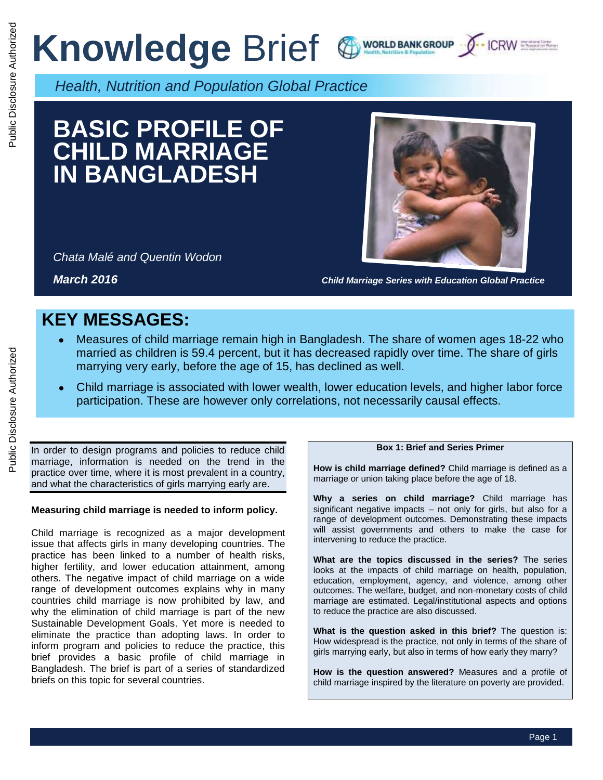# **Knowledge Brief & WORLD BANKGROUP J-ICRW SEEL**





*Health, Nutrition and Population Global Practice*

## **BASIC PROFILE OF CHILD MARRIAGE IN BANGLADESH**

*Chata Malé and Quentin Wodon* 



*March 2016 Child Marriage Series with Education Global Practice*

### **e KEY MESSAGES:**

- Measures of child marriage remain high in Bangladesh. The share of women ages 18-22 who married as children is 59.4 percent, but it has decreased rapidly over time. The share of girls marrying very early, before the age of 15, has declined as well.
- Child marriage is associated with lower wealth, lower education levels, and higher labor force participation. These are however only correlations, not necessarily causal effects.

In order to design programs and policies to reduce child marriage, information is needed on the trend in the practice over time, where it is most prevalent in a country, and what the characteristics of girls marrying early are.

#### **Measuring child marriage is needed to inform policy.**

Child marriage is recognized as a major development issue that affects girls in many developing countries. The practice has been linked to a number of health risks, higher fertility, and lower education attainment, among others. The negative impact of child marriage on a wide range of development outcomes explains why in many countries child marriage is now prohibited by law, and why the elimination of child marriage is part of the new Sustainable Development Goals. Yet more is needed to eliminate the practice than adopting laws. In order to inform program and policies to reduce the practice, this brief provides a basic profile of child marriage in Bangladesh. The brief is part of a series of standardized briefs on this topic for several countries.

#### **Box 1: Brief and Series Primer**

**How is child marriage defined?** Child marriage is defined as a marriage or union taking place before the age of 18.

**Why a series on child marriage?** Child marriage has significant negative impacts – not only for girls, but also for a range of development outcomes. Demonstrating these impacts will assist governments and others to make the case for intervening to reduce the practice.

**What are the topics discussed in the series?** The series looks at the impacts of child marriage on health, population, education, employment, agency, and violence, among other outcomes. The welfare, budget, and non-monetary costs of child marriage are estimated. Legal/institutional aspects and options to reduce the practice are also discussed.

**What is the question asked in this brief?** The question is: How widespread is the practice, not only in terms of the share of girls marrying early, but also in terms of how early they marry?

**How is the question answered?** Measures and a profile of child marriage inspired by the literature on poverty are provided.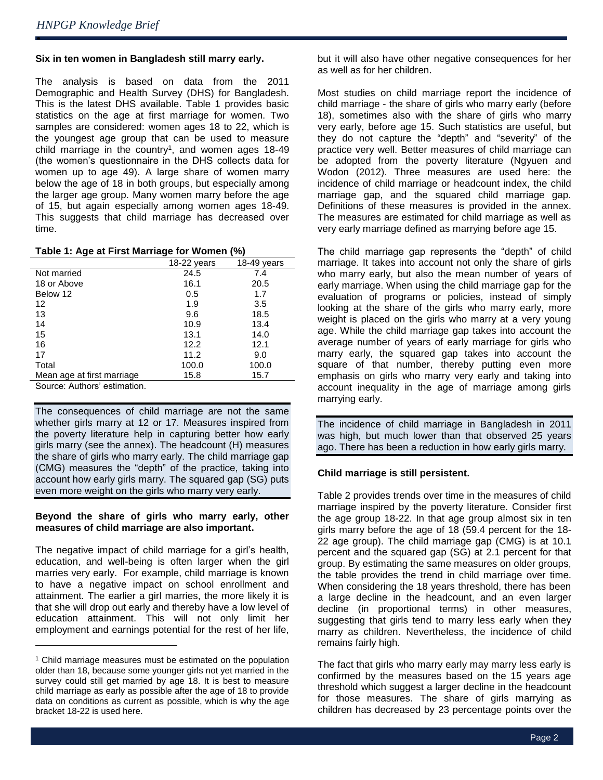ė

 $\overline{a}$ 

#### **Six in ten women in Bangladesh still marry early.**

The analysis is based on data from the 2011 Demographic and Health Survey (DHS) for Bangladesh. This is the latest DHS available. Table 1 provides basic statistics on the age at first marriage for women. Two samples are considered: women ages 18 to 22, which is the youngest age group that can be used to measure child marriage in the country<sup>1</sup>, and women ages 18-49 (the women's questionnaire in the DHS collects data for women up to age 49). A large share of women marry below the age of 18 in both groups, but especially among the larger age group. Many women marry before the age of 15, but again especially among women ages 18-49. This suggests that child marriage has decreased over time.

| Table 1: Age at First Marriage for Women (%) |
|----------------------------------------------|
|----------------------------------------------|

|                              | 18-22 years | 18-49 years |
|------------------------------|-------------|-------------|
| Not married                  | 24.5        | 7.4         |
| 18 or Above                  | 16.1        | 20.5        |
| Below 12                     | 0.5         | 1.7         |
| 12                           | 1.9         | 3.5         |
| 13                           | 9.6         | 18.5        |
| 14                           | 10.9        | 13.4        |
| 15                           | 13.1        | 14.0        |
| 16                           | 12.2        | 12.1        |
| 17                           | 11.2        | 9.0         |
| Total                        | 100.0       | 100.0       |
| Mean age at first marriage   | 15.8        | 15.7        |
| Source: Authors' estimation. |             |             |

The consequences of child marriage are not the same whether girls marry at 12 or 17. Measures inspired from the poverty literature help in capturing better how early girls marry (see the annex). The headcount (H) measures the share of girls who marry early. The child marriage gap (CMG) measures the "depth" of the practice, taking into account how early girls marry. The squared gap (SG) puts even more weight on the girls who marry very early.

#### **Beyond the share of girls who marry early, other measures of child marriage are also important.**

The negative impact of child marriage for a girl's health, education, and well-being is often larger when the girl marries very early. For example, child marriage is known to have a negative impact on school enrollment and attainment. The earlier a girl marries, the more likely it is that she will drop out early and thereby have a low level of education attainment. This will not only limit her employment and earnings potential for the rest of her life,

but it will also have other negative consequences for her as well as for her children.

Most studies on child marriage report the incidence of child marriage - the share of girls who marry early (before 18), sometimes also with the share of girls who marry very early, before age 15. Such statistics are useful, but they do not capture the "depth" and "severity" of the practice very well. Better measures of child marriage can be adopted from the poverty literature (Ngyuen and Wodon (2012). Three measures are used here: the incidence of child marriage or headcount index, the child marriage gap, and the squared child marriage gap. Definitions of these measures is provided in the annex. The measures are estimated for child marriage as well as very early marriage defined as marrying before age 15.

The child marriage gap represents the "depth" of child marriage. It takes into account not only the share of girls who marry early, but also the mean number of years of early marriage. When using the child marriage gap for the evaluation of programs or policies, instead of simply looking at the share of the girls who marry early, more weight is placed on the girls who marry at a very young age. While the child marriage gap takes into account the average number of years of early marriage for girls who marry early, the squared gap takes into account the square of that number, thereby putting even more emphasis on girls who marry very early and taking into account inequality in the age of marriage among girls marrying early.

The incidence of child marriage in Bangladesh in 2011 was high, but much lower than that observed 25 years ago. There has been a reduction in how early girls marry.

#### **Child marriage is still persistent.**

Table 2 provides trends over time in the measures of child marriage inspired by the poverty literature. Consider first the age group 18-22. In that age group almost six in ten girls marry before the age of 18 (59.4 percent for the 18- 22 age group). The child marriage gap (CMG) is at 10.1 percent and the squared gap (SG) at 2.1 percent for that group. By estimating the same measures on older groups, the table provides the trend in child marriage over time. When considering the 18 years threshold, there has been a large decline in the headcount, and an even larger decline (in proportional terms) in other measures, suggesting that girls tend to marry less early when they marry as children. Nevertheless, the incidence of child remains fairly high.

The fact that girls who marry early may marry less early is confirmed by the measures based on the 15 years age threshold which suggest a larger decline in the headcount for those measures. The share of girls marrying as children has decreased by 23 percentage points over the

<sup>&</sup>lt;sup>1</sup> Child marriage measures must be estimated on the population older than 18, because some younger girls not yet married in the survey could still get married by age 18. It is best to measure child marriage as early as possible after the age of 18 to provide data on conditions as current as possible, which is why the age bracket 18-22 is used here.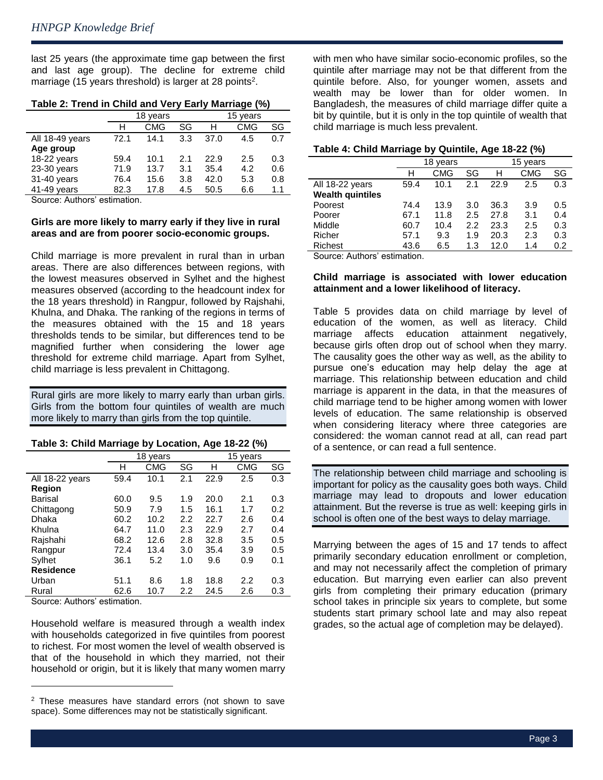last 25 years (the approximate time gap between the first and last age group). The decline for extreme child marriage (15 years threshold) is larger at 28 points<sup>2</sup>.

|                 | 18 years |            |     | 15 years |            |     |
|-----------------|----------|------------|-----|----------|------------|-----|
|                 | н        | <b>CMG</b> | SG  | н        | <b>CMG</b> | SG  |
| All 18-49 years | 72.1     | 14.1       | 3.3 | 37.0     | 4.5        | 0.7 |
| Age group       |          |            |     |          |            |     |
| 18-22 years     | 59.4     | 10.1       | 2.1 | 22.9     | 2.5        | 0.3 |
| $23-30$ years   | 71.9     | 13.7       | 3.1 | 35.4     | 4.2        | 0.6 |
| 31-40 years     | 76.4     | 15.6       | 3.8 | 42.0     | 5.3        | 0.8 |
| 41-49 years     | 82.3     | 17.8       | 4.5 | 50.5     | 6.6        | 1.1 |

#### **Table 2: Trend in Child and Very Early Marriage (%)**

Source: Authors' estimation.

#### **Girls are more likely to marry early if they live in rural areas and are from poorer socio-economic groups.**

Child marriage is more prevalent in rural than in urban areas. There are also differences between regions, with the lowest measures observed in Sylhet and the highest measures observed (according to the headcount index for the 18 years threshold) in Rangpur, followed by Rajshahi, Khulna, and Dhaka. The ranking of the regions in terms of the measures obtained with the 15 and 18 years thresholds tends to be similar, but differences tend to be magnified further when considering the lower age threshold for extreme child marriage. Apart from Sylhet, child marriage is less prevalent in Chittagong.

Rural girls are more likely to marry early than urban girls. Girls from the bottom four quintiles of wealth are much more likely to marry than girls from the top quintile.

#### **Table 3: Child Marriage by Location, Age 18-22 (%)**

|                  | 18<br>years |      |     | 15<br>vears |            |     |  |
|------------------|-------------|------|-----|-------------|------------|-----|--|
|                  | н           | CMG  | SG  | н           | <b>CMG</b> | SG  |  |
| All 18-22 years  | 59.4        | 10.1 | 2.1 | 22.9        | 2.5        | 0.3 |  |
| Region           |             |      |     |             |            |     |  |
| Barisal          | 60.0        | 9.5  | 1.9 | 20.0        | 2.1        | 0.3 |  |
| Chittagong       | 50.9        | 7.9  | 1.5 | 16.1        | 1.7        | 0.2 |  |
| Dhaka            | 60.2        | 10.2 | 2.2 | 22.7        | 2.6        | 0.4 |  |
| Khulna           | 64.7        | 11.0 | 2.3 | 22.9        | 2.7        | 0.4 |  |
| Rajshahi         | 68.2        | 12.6 | 2.8 | 32.8        | 3.5        | 0.5 |  |
| Rangpur          | 72.4        | 13.4 | 3.0 | 35.4        | 3.9        | 0.5 |  |
| Sylhet           | 36.1        | 5.2  | 1.0 | 9.6         | 0.9        | 0.1 |  |
| <b>Residence</b> |             |      |     |             |            |     |  |
| Urban            | 51.1        | 8.6  | 1.8 | 18.8        | 2.2        | 0.3 |  |
| Rural            | 62.6        | 10.7 | 2.2 | 24.5        | 2.6        | 0.3 |  |

Source: Authors' estimation.

l

Household welfare is measured through a wealth index with households categorized in five quintiles from poorest to richest. For most women the level of wealth observed is that of the household in which they married, not their household or origin, but it is likely that many women marry with men who have similar socio-economic profiles, so the quintile after marriage may not be that different from the quintile before. Also, for younger women, assets and wealth may be lower than for older women. In Bangladesh, the measures of child marriage differ quite a bit by quintile, but it is only in the top quintile of wealth that child marriage is much less prevalent.

| Table 4: Child Marriage by Quintile, Age 18-22 (%) |  |  |  |
|----------------------------------------------------|--|--|--|
|----------------------------------------------------|--|--|--|

|                         | 18 years |            |     | 15 years |            |     |
|-------------------------|----------|------------|-----|----------|------------|-----|
|                         | н        | <b>CMG</b> | SG  | н        | <b>CMG</b> | SG  |
| All 18-22 years         | 59.4     | 10.1       | 2.1 | 22.9     | 2.5        | 0.3 |
| <b>Wealth quintiles</b> |          |            |     |          |            |     |
| Poorest                 | 74.4     | 13.9       | 3.0 | 36.3     | 3.9        | 0.5 |
| Poorer                  | 67.1     | 11.8       | 2.5 | 27.8     | 3.1        | 0.4 |
| Middle                  | 60.7     | 10.4       | 2.2 | 23.3     | 2.5        | 0.3 |
| Richer                  | 57.1     | 9.3        | 1.9 | 20.3     | 2.3        | 0.3 |
| Richest                 | 43.6     | 6.5        | 1.3 | 12.0     | 1.4        | 0.2 |

Source: Authors' estimation.

#### **Child marriage is associated with lower education attainment and a lower likelihood of literacy.**

Table 5 provides data on child marriage by level of education of the women, as well as literacy. Child marriage affects education attainment negatively, because girls often drop out of school when they marry. The causality goes the other way as well, as the ability to pursue one's education may help delay the age at marriage. This relationship between education and child marriage is apparent in the data, in that the measures of child marriage tend to be higher among women with lower levels of education. The same relationship is observed when considering literacy where three categories are considered: the woman cannot read at all, can read part of a sentence, or can read a full sentence.

The relationship between child marriage and schooling is important for policy as the causality goes both ways. Child marriage may lead to dropouts and lower education attainment. But the reverse is true as well: keeping girls in school is often one of the best ways to delay marriage.

Marrying between the ages of 15 and 17 tends to affect primarily secondary education enrollment or completion, and may not necessarily affect the completion of primary education. But marrying even earlier can also prevent girls from completing their primary education (primary school takes in principle six years to complete, but some students start primary school late and may also repeat grades, so the actual age of completion may be delayed).

<sup>2</sup> These measures have standard errors (not shown to save space). Some differences may not be statistically significant.